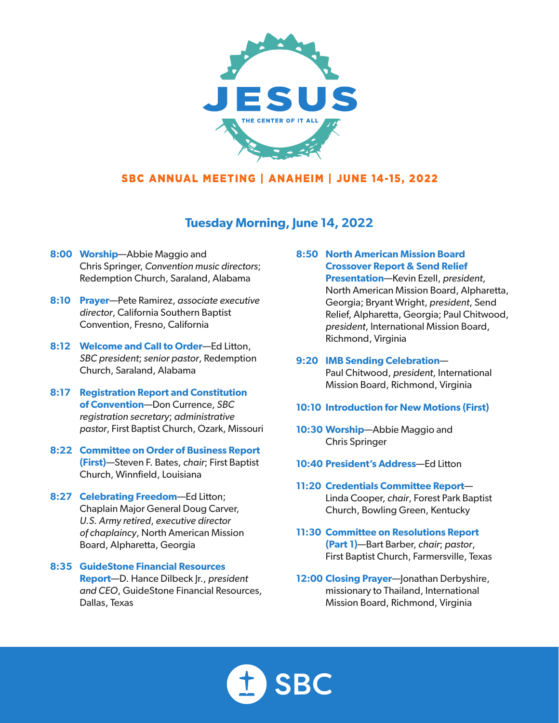

# **Tuesday Morning, June 14, 2022**

- **8:00 Worship**—Abbie Maggio and Chris Springer, *Convention music directors*; Redemption Church, Saraland, Alabama
- **8:10 Prayer**—Pete Ramirez, *associate executive director*, California Southern Baptist Convention, Fresno, California
- **8:12 Welcome and Call to Order**—Ed Litton, *SBC president*; *senior pastor*, Redemption Church, Saraland, Alabama
- **8:17 Registration Report and Constitution of Convention**—Don Currence, *SBC registration secretary*; *administrative pastor*, First Baptist Church, Ozark, Missouri
- **8:22 Committee on Order of Business Report (First)**—Steven F. Bates, *chair*; First Baptist Church, Winnfield, Louisiana
- **8:27 Celebrating Freedom**—Ed Litton; Chaplain Major General Doug Carver, *U.S. Army retired*, *executive director of chaplaincy*, North American Mission Board, Alpharetta, Georgia
- **8:35 GuideStone Financial Resources Report**—D. Hance Dilbeck Jr., *president and CEO*, GuideStone Financial Resources, Dallas, Texas

#### **8:50 North American Mission Board Crossover Report & Send Relief**

**Presentation**—Kevin Ezell, *president*, North American Mission Board, Alpharetta, Georgia; Bryant Wright, *president*, Send Relief, Alpharetta, Georgia; Paul Chitwood, *president*, International Mission Board, Richmond, Virginia

- **9:20 IMB Sending Celebration** Paul Chitwood, *president*, International Mission Board, Richmond, Virginia
- **10:10 Introduction for New Motions (First)**
- **10:30 Worship**—Abbie Maggio and Chris Springer
- **10:40 President's Address**—Ed Litton
- **11:20 Credentials Committee Report** Linda Cooper, *chair*, Forest Park Baptist Church, Bowling Green, Kentucky
- **11:30 Committee on Resolutions Report (Part 1)**—Bart Barber, *chair*; *pastor*, First Baptist Church, Farmersville, Texas
- **12:00 Closing Prayer**—Jonathan Derbyshire, missionary to Thailand, International Mission Board, Richmond, Virginia

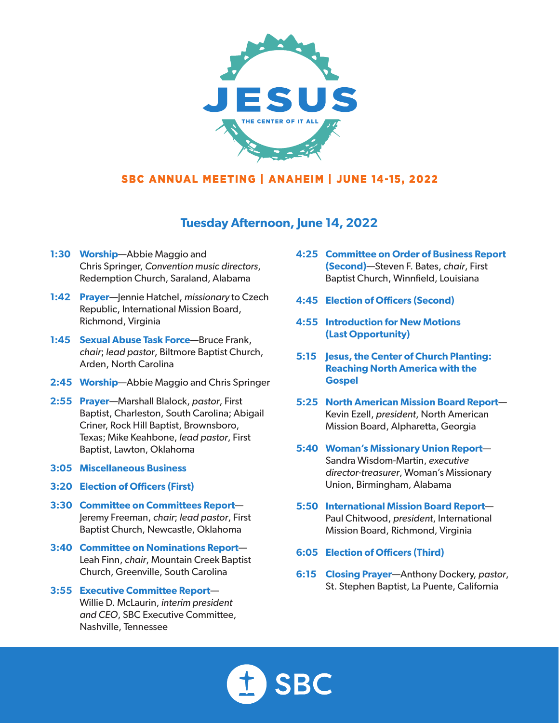

## **Tuesday Afternoon, June 14, 2022**

- **1:30 Worship**—Abbie Maggio and Chris Springer, *Convention music directors*, Redemption Church, Saraland, Alabama
- **1:42 Prayer**—Jennie Hatchel, *missionary* to Czech Republic, International Mission Board, Richmond, Virginia
- **1:45 Sexual Abuse Task Force**—Bruce Frank, *chair*; *lead pastor*, Biltmore Baptist Church, Arden, North Carolina
- **2:45 Worship**—Abbie Maggio and Chris Springer
- **2:55 Prayer**—Marshall Blalock, *pastor*, First Baptist, Charleston, South Carolina; Abigail Criner, Rock Hill Baptist, Brownsboro, Texas; Mike Keahbone, *lead pastor*, First Baptist, Lawton, Oklahoma
- **3:05 Miscellaneous Business**
- **3:20 Election of Officers (First)**
- **3:30 Committee on Committees Report** Jeremy Freeman, *chair*; *lead pastor*, First Baptist Church, Newcastle, Oklahoma
- **3:40 Committee on Nominations Report** Leah Finn, *chair*, Mountain Creek Baptist Church, Greenville, South Carolina
- **3:55 Executive Committee Report** Willie D. McLaurin, *interim president and CEO*, SBC Executive Committee, Nashville, Tennessee
- **4:25 Committee on Order of Business Report (Second)**—Steven F. Bates, *chair*, First Baptist Church, Winnfield, Louisiana
- **4:45 Election of Officers (Second)**
- **4:55 Introduction for New Motions (Last Opportunity)**
- **5:15 Jesus, the Center of Church Planting: Reaching North America with the Gospel**
- **5:25 North American Mission Board Report** Kevin Ezell, *president*, North American Mission Board, Alpharetta, Georgia
- **5:40 Woman's Missionary Union Report** Sandra Wisdom-Martin, *executive director-treasurer*, Woman's Missionary Union, Birmingham, Alabama
- **5:50 International Mission Board Report** Paul Chitwood, *president*, International Mission Board, Richmond, Virginia
- **6:05 Election of Officers (Third)**
- **6:15 Closing Prayer**—Anthony Dockery, *pastor*, St. Stephen Baptist, La Puente, California

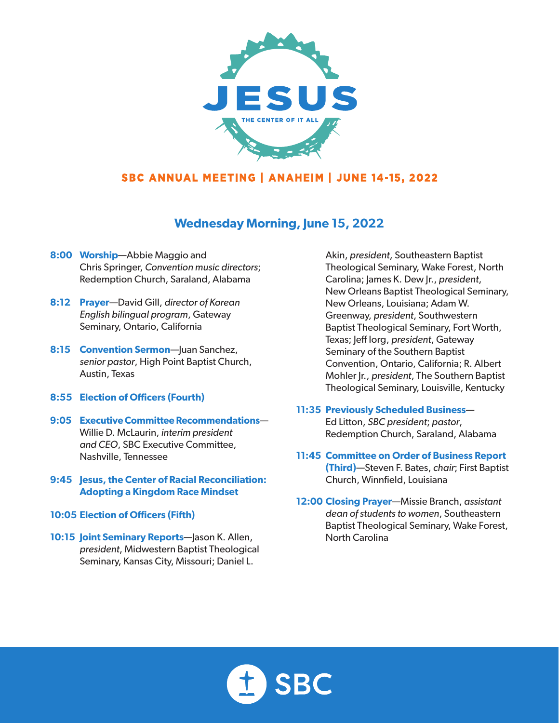

# **Wednesday Morning, June 15, 2022**

- **8:00 Worship**—Abbie Maggio and Chris Springer, *Convention music directors*; Redemption Church, Saraland, Alabama
- **8:12 Prayer**—David Gill, *director of Korean English bilingual program*, Gateway Seminary, Ontario, California
- **8:15 Convention Sermon**—Juan Sanchez, *senior pastor*, High Point Baptist Church, Austin, Texas
- **8:55 Election of Officers (Fourth)**
- **9:05 Executive Committee Recommendations** Willie D. McLaurin, *interim president and CEO*, SBC Executive Committee, Nashville, Tennessee
- **9:45 Jesus, the Center of Racial Reconciliation: Adopting a Kingdom Race Mindset**
- **10:05 Election of Officers (Fifth)**
- **10:15 Joint Seminary Reports**—Jason K. Allen, *president*, Midwestern Baptist Theological Seminary, Kansas City, Missouri; Daniel L.

Akin, *president*, Southeastern Baptist Theological Seminary, Wake Forest, North Carolina; James K. Dew Jr., *president*, New Orleans Baptist Theological Seminary, New Orleans, Louisiana; Adam W. Greenway, *president*, Southwestern Baptist Theological Seminary, Fort Worth, Texas; Jeff Iorg, *president*, Gateway Seminary of the Southern Baptist Convention, Ontario, California; R. Albert Mohler Jr., *president*, The Southern Baptist Theological Seminary, Louisville, Kentucky

#### **11:35 Previously Scheduled Business**—

Ed Litton, *SBC president*; *pastor*, Redemption Church, Saraland, Alabama

- **11:45 Committee on Order of Business Report (Third)**—Steven F. Bates, *chair*; First Baptist Church, Winnfield, Louisiana
- **12:00 Closing Prayer**—Missie Branch, *assistant dean of students to women*, Southeastern Baptist Theological Seminary, Wake Forest, North Carolina